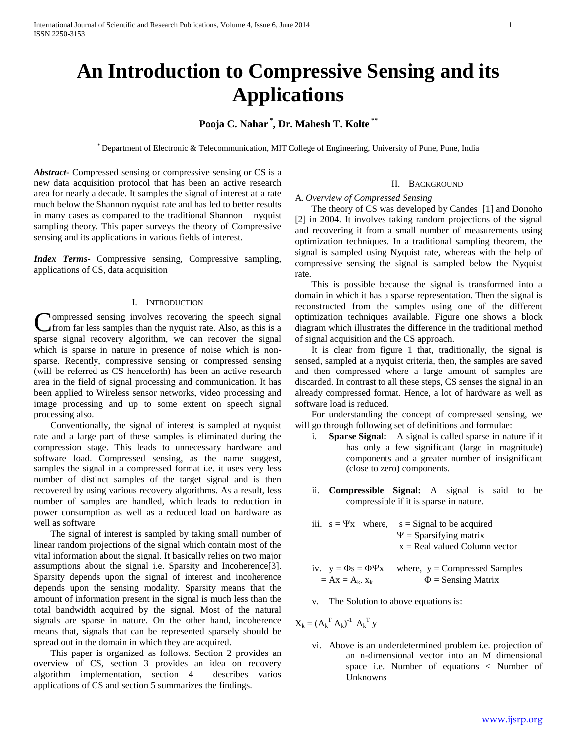# **An Introduction to Compressive Sensing and its Applications**

# **Pooja C. Nahar \* , Dr. Mahesh T. Kolte \*\***

\* Department of Electronic & Telecommunication, MIT College of Engineering, University of Pune, Pune, India

*Abstract***-** Compressed sensing or compressive sensing or CS is a new data acquisition protocol that has been an active research area for nearly a decade. It samples the signal of interest at a rate much below the Shannon nyquist rate and has led to better results in many cases as compared to the traditional Shannon – nyquist sampling theory. This paper surveys the theory of Compressive sensing and its applications in various fields of interest.

*Index Terms*- Compressive sensing, Compressive sampling, applications of CS, data acquisition

#### I. INTRODUCTION

**Nompressed sensing involves recovering the speech signal** from far less samples than the nyquist rate. Also, as this is a Compressed sensing involves recovering the speech signal from far less samples than the nyquist rate. Also, as this is a sparse signal recovery algorithm, we can recover the signal which is sparse in nature in presence of noise which is nonsparse. Recently, compressive sensing or compressed sensing (will be referred as CS henceforth) has been an active research area in the field of signal processing and communication. It has been applied to Wireless sensor networks, video processing and image processing and up to some extent on speech signal processing also.

 Conventionally, the signal of interest is sampled at nyquist rate and a large part of these samples is eliminated during the compression stage. This leads to unnecessary hardware and software load. Compressed sensing, as the name suggest, samples the signal in a compressed format i.e. it uses very less number of distinct samples of the target signal and is then recovered by using various recovery algorithms. As a result, less number of samples are handled, which leads to reduction in power consumption as well as a reduced load on hardware as well as software

 The signal of interest is sampled by taking small number of linear random projections of the signal which contain most of the vital information about the signal. It basically relies on two major assumptions about the signal i.e. Sparsity and Incoherence[3]. Sparsity depends upon the signal of interest and incoherence depends upon the sensing modality. Sparsity means that the amount of information present in the signal is much less than the total bandwidth acquired by the signal. Most of the natural signals are sparse in nature. On the other hand, incoherence means that, signals that can be represented sparsely should be spread out in the domain in which they are acquired.

 This paper is organized as follows. Section 2 provides an overview of CS, section 3 provides an idea on recovery algorithm implementation, section 4 describes varios applications of CS and section 5 summarizes the findings.

#### II. BACKGROUND

#### A. *Overview of Compressed Sensing*

 The theory of CS was developed by Candes [1] and Donoho [2] in 2004. It involves taking random projections of the signal and recovering it from a small number of measurements using optimization techniques. In a traditional sampling theorem, the signal is sampled using Nyquist rate, whereas with the help of compressive sensing the signal is sampled below the Nyquist rate.

 This is possible because the signal is transformed into a domain in which it has a sparse representation. Then the signal is reconstructed from the samples using one of the different optimization techniques available. Figure one shows a block diagram which illustrates the difference in the traditional method of signal acquisition and the CS approach.

 It is clear from figure 1 that, traditionally, the signal is sensed, sampled at a nyquist criteria, then, the samples are saved and then compressed where a large amount of samples are discarded. In contrast to all these steps, CS senses the signal in an already compressed format. Hence, a lot of hardware as well as software load is reduced.

 For understanding the concept of compressed sensing, we will go through following set of definitions and formulae:

- i. **Sparse Signal:** A signal is called sparse in nature if it has only a few significant (large in magnitude) components and a greater number of insignificant (close to zero) components.
- ii. **Compressible Signal:** A signal is said to be compressible if it is sparse in nature.
- iii.  $s = \Psi x$  where,  $s =$  Signal to be acquired  $\Psi$  = Sparsifying matrix  $x = Real$  valued Column vector
- iv.  $y = \Phi s = \Phi \Psi x$  where,  $y =$ Compressed Samples  $= Ax = A_k$ .  $x_k$   $\Phi$  = Sensing Matrix
- v. The Solution to above equations is:

 $X_k = (A_k^T A_k)^{-1} A_k^T y$ 

vi. Above is an underdetermined problem i.e. projection of an n-dimensional vector into an M dimensional space i.e. Number of equations < Number of Unknowns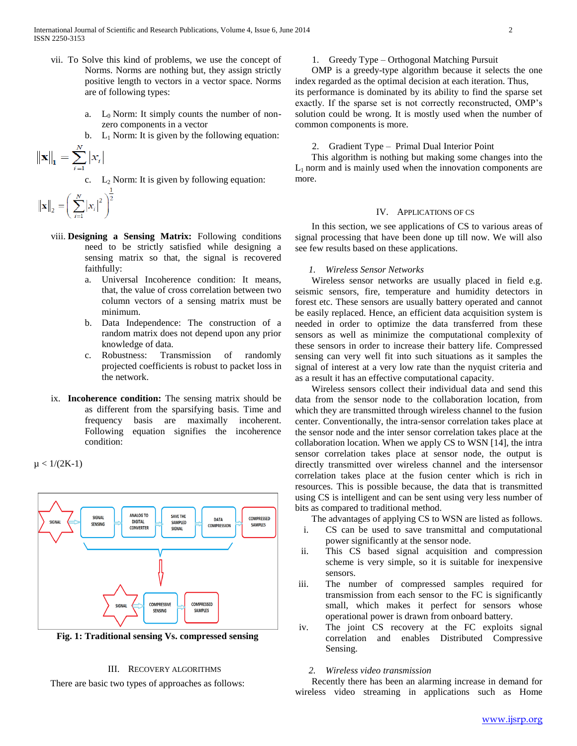- vii. To Solve this kind of problems, we use the concept of Norms. Norms are nothing but, they assign strictly positive length to vectors in a vector space. Norms are of following types:
	- a.  $L_0$  Norm: It simply counts the number of nonzero components in a vector
	- b.  $L_1$  Norm: It is given by the following equation:

$$
\left\|\mathbf{x}\right\|_{1}=\sum_{i=1}^{N}\left|x_{i}\right|
$$

c.  $L_2$  Norm: It is given by following equation:

$$
\left\| \mathbf{x} \right\|_2 = \left( \sum_{i=1}^N \left| x_i \right|^2 \right)^{\!\!\frac{1}{2}}
$$

- viii. **Designing a Sensing Matrix:** Following conditions need to be strictly satisfied while designing a sensing matrix so that, the signal is recovered faithfully:
	- a. Universal Incoherence condition: It means, that, the value of cross correlation between two column vectors of a sensing matrix must be minimum.
	- b. Data Independence: The construction of a random matrix does not depend upon any prior knowledge of data.
	- c. Robustness: Transmission of randomly projected coefficients is robust to packet loss in the network.
- ix. **Incoherence condition:** The sensing matrix should be as different from the sparsifying basis. Time and frequency basis are maximally incoherent. Following equation signifies the incoherence condition:

 $\mu$  < 1/(2K-1)



**Fig. 1: Traditional sensing Vs. compressed sensing**

#### III. RECOVERY ALGORITHMS

There are basic two types of approaches as follows:

1. Greedy Type – Orthogonal Matching Pursuit

 OMP is a greedy-type algorithm because it selects the one index regarded as the optimal decision at each iteration. Thus, its performance is dominated by its ability to find the sparse set exactly. If the sparse set is not correctly reconstructed, OMP's solution could be wrong. It is mostly used when the number of

# 2. Gradient Type – Primal Dual Interior Point

 This algorithm is nothing but making some changes into the  $L_1$  norm and is mainly used when the innovation components are more.

#### IV. APPLICATIONS OF CS

 In this section, we see applications of CS to various areas of signal processing that have been done up till now. We will also see few results based on these applications.

# *1. Wireless Sensor Networks*

common components is more.

 Wireless sensor networks are usually placed in field e.g. seismic sensors, fire, temperature and humidity detectors in forest etc. These sensors are usually battery operated and cannot be easily replaced. Hence, an efficient data acquisition system is needed in order to optimize the data transferred from these sensors as well as minimize the computational complexity of these sensors in order to increase their battery life. Compressed sensing can very well fit into such situations as it samples the signal of interest at a very low rate than the nyquist criteria and as a result it has an effective computational capacity.

 Wireless sensors collect their individual data and send this data from the sensor node to the collaboration location, from which they are transmitted through wireless channel to the fusion center. Conventionally, the intra-sensor correlation takes place at the sensor node and the inter sensor correlation takes place at the collaboration location. When we apply CS to WSN [14], the intra sensor correlation takes place at sensor node, the output is directly transmitted over wireless channel and the intersensor correlation takes place at the fusion center which is rich in resources. This is possible because, the data that is transmitted using CS is intelligent and can be sent using very less number of bits as compared to traditional method.

The advantages of applying CS to WSN are listed as follows.

- i. CS can be used to save transmittal and computational power significantly at the sensor node.
- ii. This CS based signal acquisition and compression scheme is very simple, so it is suitable for inexpensive sensors.
- iii. The number of compressed samples required for transmission from each sensor to the FC is significantly small, which makes it perfect for sensors whose operational power is drawn from onboard battery.
- iv. The joint CS recovery at the FC exploits signal correlation and enables Distributed Compressive Sensing.

# *2. Wireless video transmission*

 Recently there has been an alarming increase in demand for wireless video streaming in applications such as Home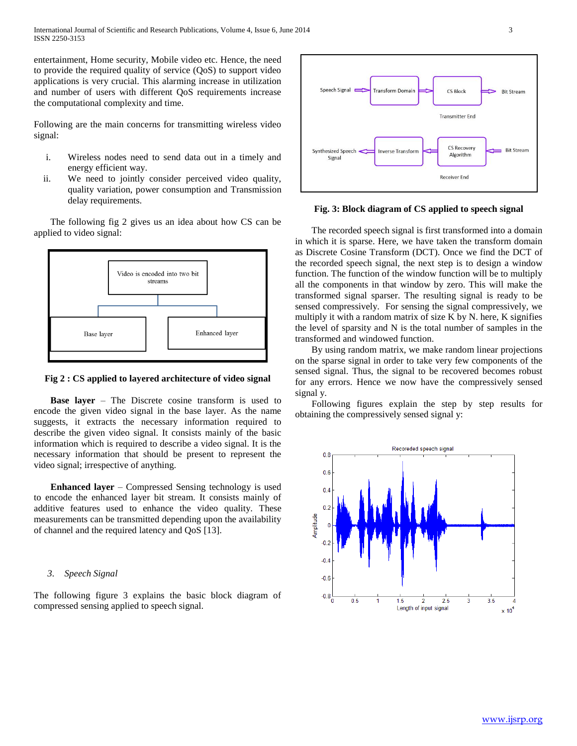entertainment, Home security, Mobile video etc. Hence, the need to provide the required quality of service (QoS) to support video applications is very crucial. This alarming increase in utilization and number of users with different QoS requirements increase the computational complexity and time.

Following are the main concerns for transmitting wireless video signal:

- i. Wireless nodes need to send data out in a timely and energy efficient way.
- ii. We need to jointly consider perceived video quality, quality variation, power consumption and Transmission delay requirements.

 The following fig 2 gives us an idea about how CS can be applied to video signal:



**Fig 2 : CS applied to layered architecture of video signal**

 **Base layer** – The Discrete cosine transform is used to encode the given video signal in the base layer. As the name suggests, it extracts the necessary information required to describe the given video signal. It consists mainly of the basic information which is required to describe a video signal. It is the necessary information that should be present to represent the video signal; irrespective of anything.

 **Enhanced layer** – Compressed Sensing technology is used to encode the enhanced layer bit stream. It consists mainly of additive features used to enhance the video quality. These measurements can be transmitted depending upon the availability of channel and the required latency and QoS [13].

# *3. Speech Signal*

The following figure 3 explains the basic block diagram of compressed sensing applied to speech signal.



**Fig. 3: Block diagram of CS applied to speech signal**

 The recorded speech signal is first transformed into a domain in which it is sparse. Here, we have taken the transform domain as Discrete Cosine Transform (DCT). Once we find the DCT of the recorded speech signal, the next step is to design a window function. The function of the window function will be to multiply all the components in that window by zero. This will make the transformed signal sparser. The resulting signal is ready to be sensed compressively. For sensing the signal compressively, we multiply it with a random matrix of size K by N. here, K signifies the level of sparsity and N is the total number of samples in the transformed and windowed function.

 By using random matrix, we make random linear projections on the sparse signal in order to take very few components of the sensed signal. Thus, the signal to be recovered becomes robust for any errors. Hence we now have the compressively sensed signal y.

 Following figures explain the step by step results for obtaining the compressively sensed signal y:

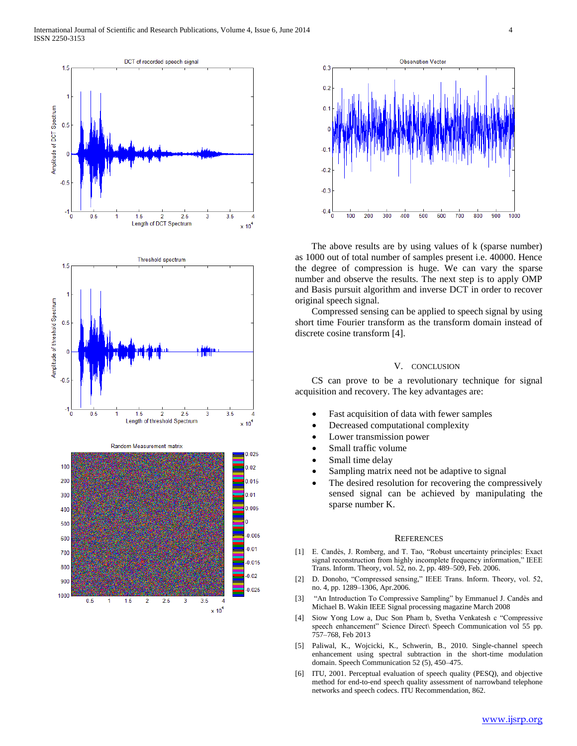



 The above results are by using values of k (sparse number) as 1000 out of total number of samples present i.e. 40000. Hence the degree of compression is huge. We can vary the sparse number and observe the results. The next step is to apply OMP and Basis pursuit algorithm and inverse DCT in order to recover original speech signal.

 Compressed sensing can be applied to speech signal by using short time Fourier transform as the transform domain instead of discrete cosine transform [4].

#### V. CONCLUSION

 CS can prove to be a revolutionary technique for signal acquisition and recovery. The key advantages are:

- Fast acquisition of data with fewer samples
- Decreased computational complexity
- Lower transmission power
- Small traffic volume
- Small time delay
- Sampling matrix need not be adaptive to signal
- The desired resolution for recovering the compressively sensed signal can be achieved by manipulating the sparse number K.

#### **REFERENCES**

- [1] E. Candès, J. Romberg, and T. Tao, "Robust uncertainty principles: Exact signal reconstruction from highly incomplete frequency information," IEEE Trans. Inform. Theory, vol. 52, no. 2, pp. 489–509, Feb. 2006.
- [2] D. Donoho, "Compressed sensing," IEEE Trans. Inform. Theory, vol. 52, no. 4, pp. 1289–1306, Apr.2006.
- [3] "An Introduction To Compressive Sampling" by Emmanuel J. Candès and Michael B. Wakin IEEE Signal processing magazine March 2008
- [4] Siow Yong Low a, Duc Son Pham b, Svetha Venkatesh c "Compressive speech enhancement" Science Direct\ Speech Communication vol 55 pp. 757–768, Feb 2013
- [5] Paliwal, K., Wojcicki, K., Schwerin, B., 2010. Single-channel speech enhancement using spectral subtraction in the short-time modulation domain. Speech Communication 52 (5), 450–475.
- [6] ITU, 2001. Perceptual evaluation of speech quality (PESQ), and objective method for end-to-end speech quality assessment of narrowband telephone networks and speech codecs. ITU Recommendation, 862.